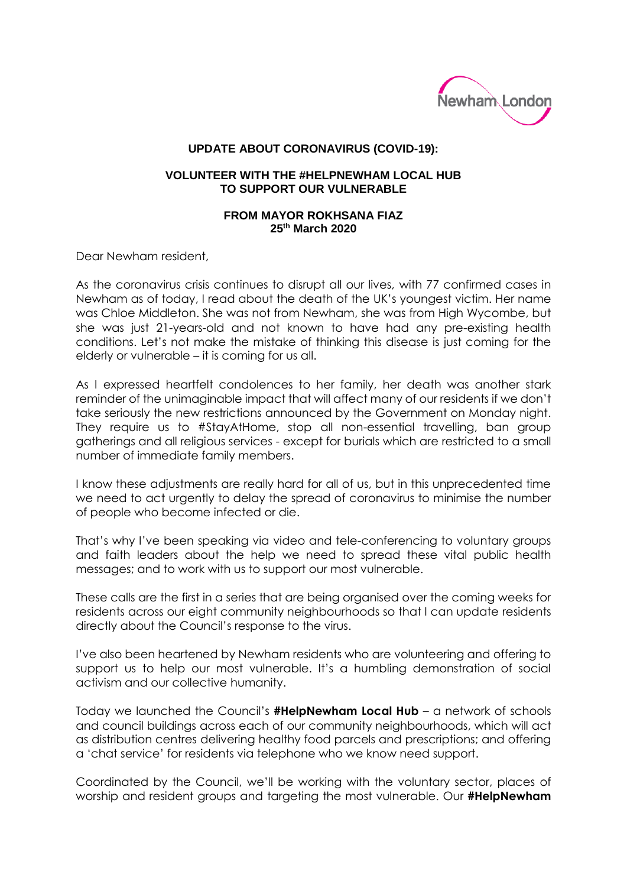

## **UPDATE ABOUT CORONAVIRUS (COVID-19):**

## **VOLUNTEER WITH THE #HELPNEWHAM LOCAL HUB TO SUPPORT OUR VULNERABLE**

## **FROM MAYOR ROKHSANA FIAZ 25th March 2020**

Dear Newham resident,

As the coronavirus crisis continues to disrupt all our lives, with 77 confirmed cases in Newham as of today, I read about the death of the UK's youngest victim. Her name was Chloe Middleton. She was not from Newham, she was from High Wycombe, but she was just 21-years-old and not known to have had any pre-existing health conditions. Let's not make the mistake of thinking this disease is just coming for the elderly or vulnerable – it is coming for us all.

As I expressed heartfelt condolences to her family, her death was another stark reminder of the unimaginable impact that will affect many of our residents if we don't take seriously the new restrictions announced by the Government on Monday night. They require us to #StayAtHome, stop all non-essential travelling, ban group gatherings and all religious services - except for burials which are restricted to a small number of immediate family members.

I know these adjustments are really hard for all of us, but in this unprecedented time we need to act urgently to delay the spread of coronavirus to minimise the number of people who become infected or die.

That's why I've been speaking via video and tele-conferencing to voluntary groups and faith leaders about the help we need to spread these vital public health messages; and to work with us to support our most vulnerable.

These calls are the first in a series that are being organised over the coming weeks for residents across our eight community neighbourhoods so that I can update residents directly about the Council's response to the virus.

I've also been heartened by Newham residents who are volunteering and offering to support us to help our most vulnerable. It's a humbling demonstration of social activism and our collective humanity.

Today we launched the Council's **#HelpNewham Local Hub** – a network of schools and council buildings across each of our community neighbourhoods, which will act as distribution centres delivering healthy food parcels and prescriptions; and offering a 'chat service' for residents via telephone who we know need support.

Coordinated by the Council, we'll be working with the voluntary sector, places of worship and resident groups and targeting the most vulnerable. Our **#HelpNewham**